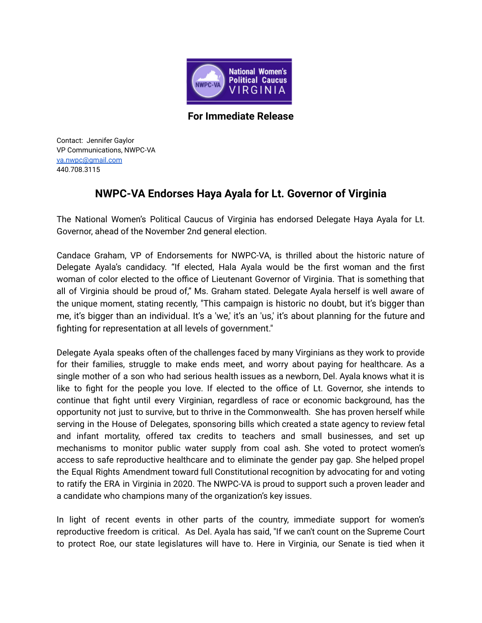

**For Immediate Release**

Contact: Jennifer Gaylor VP Communications, NWPC-VA [va.nwpc@gmail.com](mailto:va.nwpc@gmail.com) 440.708.3115

## **NWPC-VA Endorses Haya Ayala for Lt. Governor of Virginia**

The National Women's Political Caucus of Virginia has endorsed Delegate Haya Ayala for Lt. Governor, ahead of the November 2nd general election.

Candace Graham, VP of Endorsements for NWPC-VA, is thrilled about the historic nature of Delegate Ayala's candidacy. "If elected, Hala Ayala would be the first woman and the first woman of color elected to the office of Lieutenant Governor of Virginia. That is something that all of Virginia should be proud of," Ms. Graham stated. Delegate Ayala herself is well aware of the unique moment, stating recently, "This campaign is historic no doubt, but it's bigger than me, it's bigger than an individual. It's a 'we,' it's an 'us,' it's about planning for the future and fighting for representation at all levels of government."

Delegate Ayala speaks often of the challenges faced by many Virginians as they work to provide for their families, struggle to make ends meet, and worry about paying for healthcare. As a single mother of a son who had serious health issues as a newborn, Del. Ayala knows what it is like to fight for the people you love. If elected to the office of Lt. Governor, she intends to continue that fight until every Virginian, regardless of race or economic background, has the opportunity not just to survive, but to thrive in the Commonwealth. She has proven herself while serving in the House of Delegates, sponsoring bills which created a state agency to review fetal and infant mortality, offered tax credits to teachers and small businesses, and set up mechanisms to monitor public water supply from coal ash. She voted to protect women's access to safe reproductive healthcare and to eliminate the gender pay gap. She helped propel the Equal Rights Amendment toward full Constitutional recognition by advocating for and voting to ratify the ERA in Virginia in 2020. The NWPC-VA is proud to support such a proven leader and a candidate who champions many of the organization's key issues.

In light of recent events in other parts of the country, immediate support for women's reproductive freedom is critical. As Del. Ayala has said, "If we can't count on the Supreme Court to protect Roe, our state legislatures will have to. Here in Virginia, our Senate is tied when it